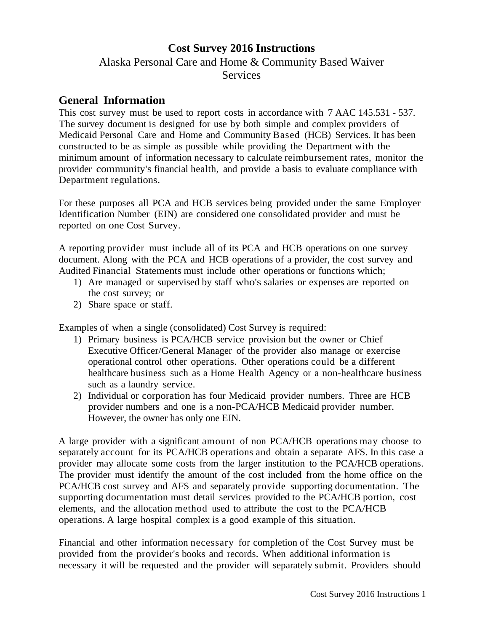# **Cost Survey 2016 Instructions** Alaska Personal Care and Home & Community Based Waiver **Services**

## **General Information**

This cost survey must be used to report costs in accordance with 7 AAC 145.531 - 537. The survey document is designed for use by both simple and complex providers of Medicaid Personal Care and Home and Community Based (HCB) Services. It has been constructed to be as simple as possible while providing the Department with the minimum amount of information necessary to calculate reimbursement rates, monitor the provider community's financial health, and provide a basis to evaluate compliance with Department regulations.

For these purposes all PCA and HCB services being provided under the same Employer Identification Number (EIN) are considered one consolidated provider and must be reported on one Cost Survey.

A reporting provider must include all of its PCA and HCB operations on one survey document. Along with the PCA and HCB operations of a provider, the cost survey and Audited Financial Statements must include other operations or functions which;

- 1) Are managed or supervised by staff who's salaries or expenses are reported on the cost survey; or
- 2) Share space or staff.

Examples of when a single (consolidated) Cost Survey is required:

- 1) Primary business is PCA/HCB service provision but the owner or Chief Executive Officer/General Manager of the provider also manage or exercise operational control other operations. Other operations could be a different healthcare business such as a Home Health Agency or a non-healthcare business such as a laundry service.
- 2) Individual or corporation has four Medicaid provider numbers. Three are HCB provider numbers and one is a non-PCA/HCB Medicaid provider number. However, the owner has only one EIN.

A large provider with a significant amount of non PCA/HCB operations may choose to separately account for its PCA/HCB operations and obtain a separate AFS. In this case a provider may allocate some costs from the larger institution to the PCA/HCB operations. The provider must identify the amount of the cost included from the home office on the PCA/HCB cost survey and AFS and separately provide supporting documentation. The supporting documentation must detail services provided to the PCA/HCB portion, cost elements, and the allocation method used to attribute the cost to the PCA/HCB operations. A large hospital complex is a good example of this situation.

Financial and other information necessary for completion of the Cost Survey must be provided from the provider's books and records. When additional information is necessary it will be requested and the provider will separately submit. Providers should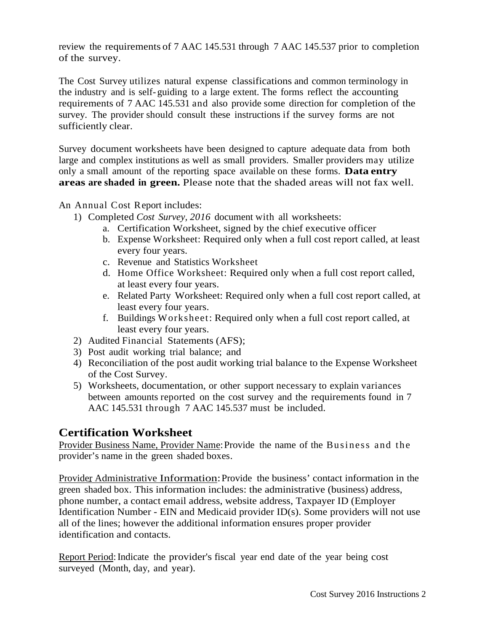review the requirements of 7 AAC 145.531 through 7 AAC 145.537 prior to completion of the survey.

The Cost Survey utilizes natural expense classifications and common terminology in the industry and is self- guiding to a large extent. The forms reflect the accounting requirements of 7 AAC 145.531 and also provide some direction for completion of the survey. The provider should consult these instructions if the survey forms are not sufficiently clear.

Survey document worksheets have been designed to capture adequate data from both large and complex institutions as well as small providers. Smaller providers may utilize only a small amount of the reporting space available on these forms. **Data entry areas are shaded in green.** Please note that the shaded areas will not fax well.

An Annual Cost Report includes:

- 1) Completed *Cost Survey, 2016* document with all worksheets:
	- a. Certification Worksheet, signed by the chief executive officer
	- b. Expense Worksheet: Required only when a full cost report called, at least every four years.
	- c. Revenue and Statistics Worksheet
	- d. Home Office Worksheet: Required only when a full cost report called, at least every four years.
	- e. Related Party Worksheet: Required only when a full cost report called, at least every four years.
	- f. Buildings Worksheet: Required only when a full cost report called, at least every four years.
- 2) Audited Financial Statements (AFS);
- 3) Post audit working trial balance; and
- 4) Reconciliation of the post audit working trial balance to the Expense Worksheet of the Cost Survey.
- 5) Worksheets, documentation, or other support necessary to explain variances between amounts reported on the cost survey and the requirements found in 7 AAC 145.531 through 7 AAC 145.537 must be included.

# **Certification Worksheet**

Provider Business Name, Provider Name:Provide the name of the Business and the provider's name in the green shaded boxes.

Provider Administrative Information:Provide the business' contact information in the green shaded box. This information includes: the administrative (business) address, phone number, a contact email address, website address, Taxpayer ID (Employer Identification Number - EIN and Medicaid provider ID(s). Some providers will not use all of the lines; however the additional information ensures proper provider identification and contacts.

Report Period: Indicate the provider's fiscal year end date of the year being cost surveyed (Month, day, and year).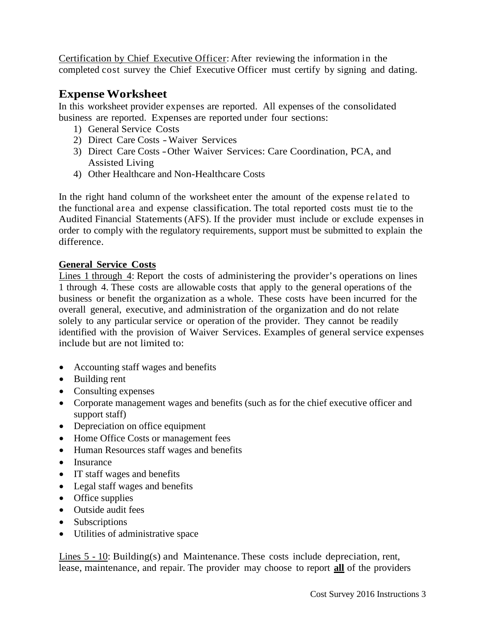Certification by Chief Executive Officer: After reviewing the information in the completed cost survey the Chief Executive Officer must certify by signing and dating.

# **Expense Worksheet**

In this worksheet provider expenses are reported. All expenses of the consolidated business are reported. Expenses are reported under four sections:

- 1) General Service Costs
- 2) Direct Care Costs -Waiver Services
- 3) Direct Care Costs -Other Waiver Services: Care Coordination, PCA, and Assisted Living
- 4) Other Healthcare and Non-Healthcare Costs

In the right hand column of the worksheet enter the amount of the expense related to the functional area and expense classification. The total reported costs must tie to the Audited Financial Statements (AFS). If the provider must include or exclude expenses in order to comply with the regulatory requirements, support must be submitted to explain the difference.

### **General Service Costs**

Lines 1 through 4: Report the costs of administering the provider's operations on lines 1 through 4. These costs are allowable costs that apply to the general operations of the business or benefit the organization as a whole. These costs have been incurred for the overall general, executive, and administration of the organization and do not relate solely to any particular service or operation of the provider. They cannot be readily identified with the provision of Waiver Services. Examples of general service expenses include but are not limited to:

- Accounting staff wages and benefits
- Building rent
- Consulting expenses
- Corporate management wages and benefits (such as for the chief executive officer and support staff)
- Depreciation on office equipment
- Home Office Costs or management fees
- Human Resources staff wages and benefits
- Insurance
- IT staff wages and benefits
- Legal staff wages and benefits
- Office supplies
- Outside audit fees
- Subscriptions
- Utilities of administrative space

Lines 5 - 10: Building(s) and Maintenance. These costs include depreciation, rent, lease, maintenance, and repair. The provider may choose to report **all** of the providers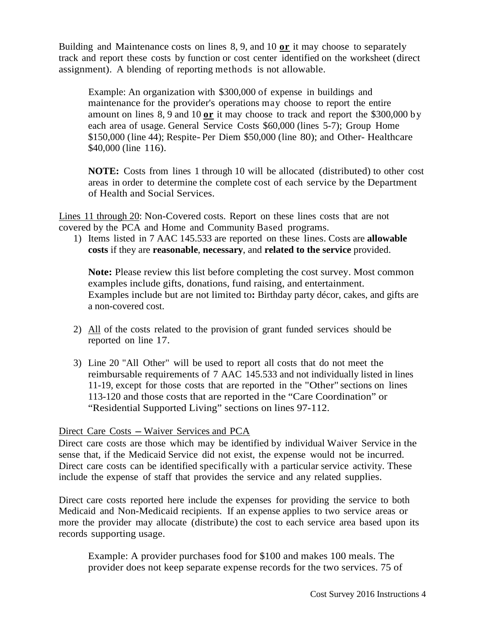Building and Maintenance costs on lines 8, 9, and 10 **or** it may choose to separately track and report these costs by function or cost center identified on the worksheet (direct assignment). A blending of reporting methods is not allowable.

Example: An organization with \$300,000 of expense in buildings and maintenance for the provider's operations may choose to report the entire amount on lines 8, 9 and 10 **or** it may choose to track and report the \$300,000 by each area of usage. General Service Costs \$60,000 (lines 5-7); Group Home \$150,000 (line 44); Respite- Per Diem \$50,000 (line 80); and Other- Healthcare \$40,000 (line 116).

**NOTE:** Costs from lines 1 through 10 will be allocated (distributed) to other cost areas in order to determine the complete cost of each service by the Department of Health and Social Services.

Lines 11 through 20: Non-Covered costs. Report on these lines costs that are not covered by the PCA and Home and Community Based programs.

1) Items listed in 7 AAC 145.533 are reported on these lines. Costs are **allowable costs** if they are **reasonable**, **necessary**, and **related to the service** provided.

**Note:** Please review this list before completing the cost survey. Most common examples include gifts, donations, fund raising, and entertainment. Examples include but are not limited to**:** Birthday party décor, cakes, and gifts are a non-covered cost.

- 2) All of the costs related to the provision of grant funded services should be reported on line 17.
- 3) Line 20 "All Other" will be used to report all costs that do not meet the reimbursable requirements of 7 AAC 145.533 and not individually listed in lines 11-19, except for those costs that are reported in the "Other" sections on lines 113-120 and those costs that are reported in the "Care Coordination" or "Residential Supported Living" sections on lines 97-112.

#### Direct Care Costs – Waiver Services and PCA

Direct care costs are those which may be identified by individual Waiver Service in the sense that, if the Medicaid Service did not exist, the expense would not be incurred. Direct care costs can be identified specifically with a particular service activity. These include the expense of staff that provides the service and any related supplies.

Direct care costs reported here include the expenses for providing the service to both Medicaid and Non-Medicaid recipients. If an expense applies to two service areas or more the provider may allocate (distribute) the cost to each service area based upon its records supporting usage.

Example: A provider purchases food for \$100 and makes 100 meals. The provider does not keep separate expense records for the two services. 75 of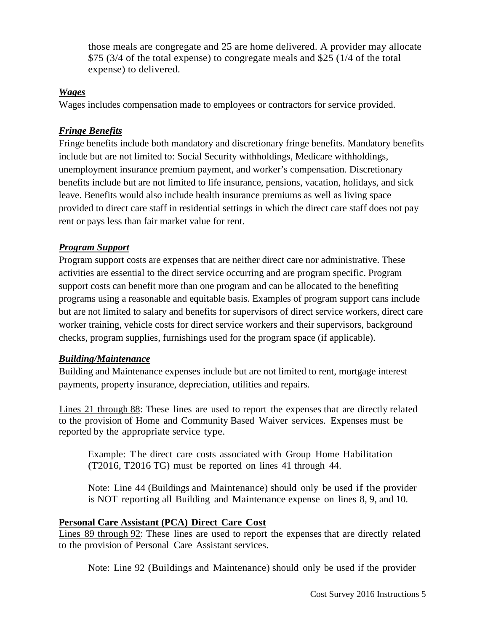those meals are congregate and 25 are home delivered. A provider may allocate \$75 (3/4 of the total expense) to congregate meals and \$25 (1/4 of the total expense) to delivered.

#### *Wages*

Wages includes compensation made to employees or contractors for service provided.

### *Fringe Benefits*

Fringe benefits include both mandatory and discretionary fringe benefits. Mandatory benefits include but are not limited to: Social Security withholdings, Medicare withholdings, unemployment insurance premium payment, and worker's compensation. Discretionary benefits include but are not limited to life insurance, pensions, vacation, holidays, and sick leave. Benefits would also include health insurance premiums as well as living space provided to direct care staff in residential settings in which the direct care staff does not pay rent or pays less than fair market value for rent.

### *Program Support*

Program support costs are expenses that are neither direct care nor administrative. These activities are essential to the direct service occurring and are program specific. Program support costs can benefit more than one program and can be allocated to the benefiting programs using a reasonable and equitable basis. Examples of program support cans include but are not limited to salary and benefits for supervisors of direct service workers, direct care worker training, vehicle costs for direct service workers and their supervisors, background checks, program supplies, furnishings used for the program space (if applicable).

### *Building/Maintenance*

Building and Maintenance expenses include but are not limited to rent, mortgage interest payments, property insurance, depreciation, utilities and repairs.

Lines 21 through 88: These lines are used to report the expenses that are directly related to the provision of Home and Community Based Waiver services. Expenses must be reported by the appropriate service type.

Example: T he direct care costs associated with Group Home Habilitation (T2016, T2016 TG) must be reported on lines 41 through 44.

Note: Line 44 (Buildings and Maintenance) should only be used if the provider is NOT reporting all Building and Maintenance expense on lines 8, 9, and 10.

### **Personal Care Assistant (PCA) Direct Care Cost**

Lines 89 through 92: These lines are used to report the expenses that are directly related to the provision of Personal Care Assistant services.

Note: Line 92 (Buildings and Maintenance) should only be used if the provider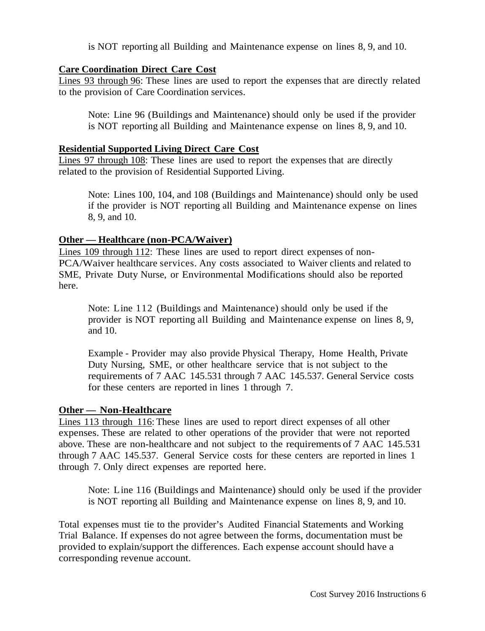is NOT reporting all Building and Maintenance expense on lines 8, 9, and 10.

#### **Care Coordination Direct Care Cost**

Lines 93 through 96: These lines are used to report the expenses that are directly related to the provision of Care Coordination services.

Note: Line 96 (Buildings and Maintenance) should only be used if the provider is NOT reporting all Building and Maintenance expense on lines 8, 9, and 10.

#### **Residential Supported Living Direct Care Cost**

Lines 97 through 108: These lines are used to report the expenses that are directly related to the provision of Residential Supported Living.

Note: Lines 100, 104, and 108 (Buildings and Maintenance) should only be used if the provider is NOT reporting all Building and Maintenance expense on lines 8, 9, and 10.

#### **Other — Healthcare (non-PCA/Waiver)**

Lines 109 through 112: These lines are used to report direct expenses of non-PCA/Waiver healthcare services. Any costs associated to Waiver clients and related to SME, Private Duty Nurse, or Environmental Modifications should also be reported here.

Note: Line 112 (Buildings and Maintenance) should only be used if the provider is NOT reporting all Building and Maintenance expense on lines 8, 9, and 10.

Example - Provider may also provide Physical Therapy, Home Health, Private Duty Nursing, SME, or other healthcare service that is not subject to the requirements of 7 AAC 145.531 through 7 AAC 145.537. General Service costs for these centers are reported in lines 1 through 7.

#### **Other — Non-Healthcare**

Lines 113 through 116: These lines are used to report direct expenses of all other expenses. These are related to other operations of the provider that were not reported above. These are non-healthcare and not subject to the requirements of 7 AAC 145.531 through 7 AAC 145.537. General Service costs for these centers are reported in lines 1 through 7. Only direct expenses are reported here.

Note: Line 116 (Buildings and Maintenance) should only be used if the provider is NOT reporting all Building and Maintenance expense on lines 8, 9, and 10.

Total expenses must tie to the provider's Audited Financial Statements and Working Trial Balance. If expenses do not agree between the forms, documentation must be provided to explain/support the differences. Each expense account should have a corresponding revenue account.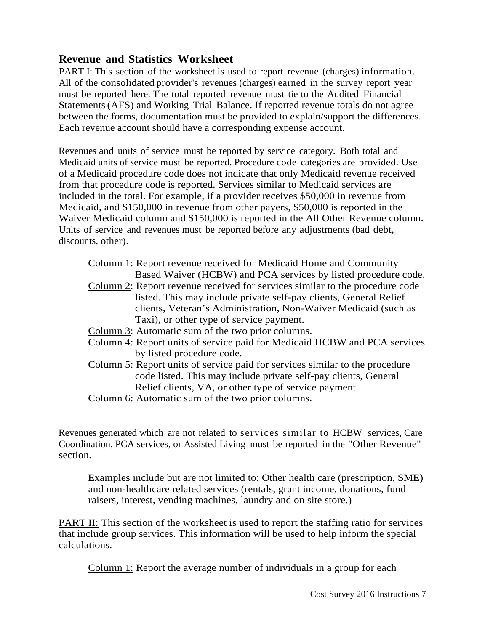## **Revenue and Statistics Worksheet**

PART I: This section of the worksheet is used to report revenue (charges) information. All of the consolidated provider's revenues (charges) earned in the survey report year must be reported here. The total reported revenue must tie to the Audited Financial Statements(AFS) and Working Trial Balance. If reported revenue totals do not agree between the forms, documentation must be provided to explain/support the differences. Each revenue account should have a corresponding expense account.

Revenues and units of service must be reported by service category. Both total and Medicaid units of service must be reported. Procedure code categories are provided. Use of a Medicaid procedure code does not indicate that only Medicaid revenue received from that procedure code is reported. Services similar to Medicaid services are included in the total. For example, if a provider receives \$50,000 in revenue from Medicaid, and \$150,000 in revenue from other payers, \$50,000 is reported in the Waiver Medicaid column and \$150,000 is reported in the All Other Revenue column. Units of service and revenues must be reported before any adjustments (bad debt, discounts, other).

- Column 1: Report revenue received for Medicaid Home and Community Based Waiver (HCBW) and PCA services by listed procedure code.
- Column 2: Report revenue received for services similar to the procedure code listed. This may include private self-pay clients, General Relief clients, Veteran's Administration, Non-Waiver Medicaid (such as Taxi), or other type of service payment.
- Column 3: Automatic sum of the two prior columns.
- Column 4: Report units of service paid for Medicaid HCBW and PCA services by listed procedure code.
- Column 5: Report units of service paid for services similar to the procedure code listed. This may include private self-pay clients, General Relief clients, VA, or other type of service payment.
- Column 6: Automatic sum of the two prior columns.

Revenues generated which are not related to services similar to HCBW services, Care Coordination, PCA services, or Assisted Living must be reported in the "Other Revenue" section.

Examples include but are not limited to: Other health care (prescription, SME) and non-healthcare related services (rentals, grant income, donations, fund raisers, interest, vending machines, laundry and on site store.)

PART II: This section of the worksheet is used to report the staffing ratio for services that include group services. This information will be used to help inform the special calculations.

Column 1: Report the average number of individuals in a group for each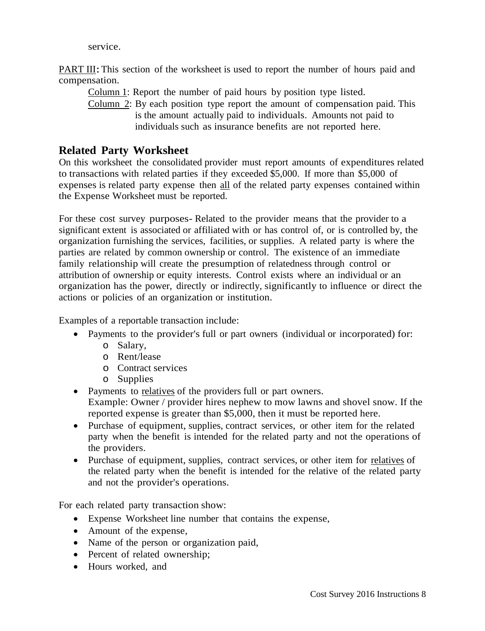service.

PART III: This section of the worksheet is used to report the number of hours paid and compensation.

Column 1: Report the number of paid hours by position type listed.

Column 2: By each position type report the amount of compensation paid. This is the amount actually paid to individuals. Amounts not paid to individuals such as insurance benefits are not reported here.

# **Related Party Worksheet**

On this worksheet the consolidated provider must report amounts of expenditures related to transactions with related parties if they exceeded \$5,000. If more than \$5,000 of expenses is related party expense then all of the related party expenses contained within the Expense Worksheet must be reported.

For these cost survey purposes- Related to the provider means that the provider to a significant extent is associated or affiliated with or has control of, or is controlled by, the organization furnishing the services, facilities, or supplies. A related party is where the parties are related by common ownership or control. The existence of an immediate family relationship will create the presumption of relatedness through control or attribution of ownership or equity interests. Control exists where an individual or an organization has the power, directly or indirectly, significantly to influence or direct the actions or policies of an organization or institution.

Examples of a reportable transaction include:

- Payments to the provider's full or part owners (individual or incorporated) for:
	- o Salary,
	- o Rent/lease
	- o Contract services
	- o Supplies
- Payments to relatives of the providers full or part owners. Example: Owner / provider hires nephew to mow lawns and shovel snow. If the reported expense is greater than \$5,000, then it must be reported here.
- Purchase of equipment, supplies, contract services, or other item for the related party when the benefit is intended for the related party and not the operations of the providers.
- Purchase of equipment, supplies, contract services, or other item for relatives of the related party when the benefit is intended for the relative of the related party and not the provider's operations.

For each related party transaction show:

- Expense Worksheet line number that contains the expense,
- Amount of the expense,
- Name of the person or organization paid,
- Percent of related ownership;
- Hours worked, and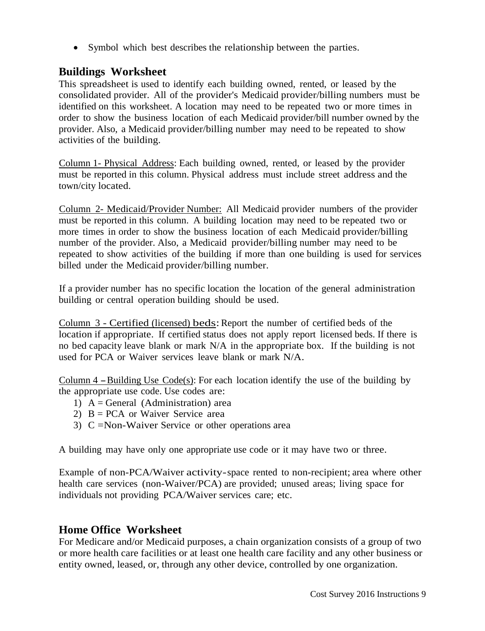• Symbol which best describes the relationship between the parties.

## **Buildings Worksheet**

This spreadsheet is used to identify each building owned, rented, or leased by the consolidated provider. All of the provider's Medicaid provider/billing numbers must be identified on this worksheet. A location may need to be repeated two or more times in order to show the business location of each Medicaid provider/bill number owned by the provider. Also, a Medicaid provider/billing number may need to be repeated to show activities of the building.

Column 1- Physical Address: Each building owned, rented, or leased by the provider must be reported in this column. Physical address must include street address and the town/city located.

Column 2- Medicaid/Provider Number: All Medicaid provider numbers of the provider must be reported in this column. A building location may need to be repeated two or more times in order to show the business location of each Medicaid provider/billing number of the provider. Also, a Medicaid provider/billing number may need to be repeated to show activities of the building if more than one building is used for services billed under the Medicaid provider/billing number.

If a provider number has no specific location the location of the general administration building or central operation building should be used.

Column 3 - Certified (licensed) beds:Report the number of certified beds of the location if appropriate. If certified status does not apply report licensed beds. If there is no bed capacity leave blank or mark N/A in the appropriate box. If the building is not used for PCA or Waiver services leave blank or mark N/A.

Column  $4$  – Building Use Code(s): For each location identify the use of the building by the appropriate use code. Use codes are:

- 1)  $A = General$  (Administration) area
- 2)  $B = PCA$  or Waiver Service area
- 3) C =Non-Waiver Service or other operations area

A building may have only one appropriate use code or it may have two or three.

Example of non-PCA/Waiver activity-space rented to non-recipient; area where other health care services (non-Waiver/PCA) are provided; unused areas; living space for individuals not providing PCA/Waiver services care; etc.

# **Home Office Worksheet**

For Medicare and/or Medicaid purposes, a chain organization consists of a group of two or more health care facilities or at least one health care facility and any other business or entity owned, leased, or, through any other device, controlled by one organization.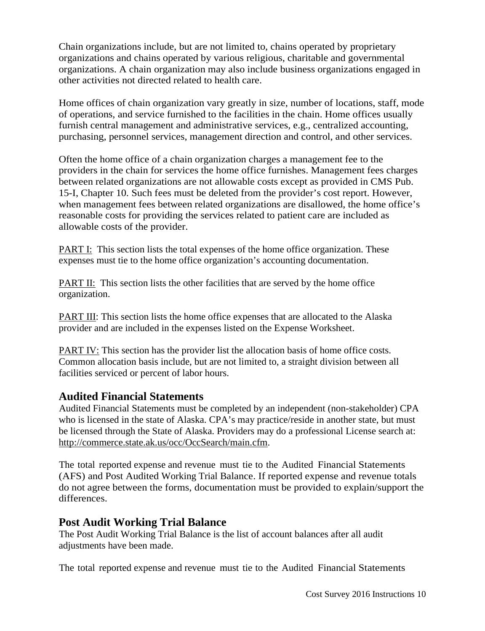Chain organizations include, but are not limited to, chains operated by proprietary organizations and chains operated by various religious, charitable and governmental organizations. A chain organization may also include business organizations engaged in other activities not directed related to health care.

Home offices of chain organization vary greatly in size, number of locations, staff, mode of operations, and service furnished to the facilities in the chain. Home offices usually furnish central management and administrative services, e.g., centralized accounting, purchasing, personnel services, management direction and control, and other services.

Often the home office of a chain organization charges a management fee to the providers in the chain for services the home office furnishes. Management fees charges between related organizations are not allowable costs except as provided in CMS Pub. 15-I, Chapter 10. Such fees must be deleted from the provider's cost report. However, when management fees between related organizations are disallowed, the home office's reasonable costs for providing the services related to patient care are included as allowable costs of the provider.

PART I: This section lists the total expenses of the home office organization. These expenses must tie to the home office organization's accounting documentation.

PART II: This section lists the other facilities that are served by the home office organization.

PART III: This section lists the home office expenses that are allocated to the Alaska provider and are included in the expenses listed on the Expense Worksheet.

PART IV: This section has the provider list the allocation basis of home office costs. Common allocation basis include, but are not limited to, a straight division between all facilities serviced or percent of labor hours.

## **Audited Financial Statements**

Audited Financial Statements must be completed by an independent (non-stakeholder) CPA who is licensed in the state of Alaska. CPA's may practice/reside in another state, but must be licensed through the State of Alaska. Providers may do a professional License search at: [http://commerce.state.ak.us/occ/OccSearch/main.cfm.](http://commerce.state.ak.us/occ/OccSearch/main.cfm)

The total reported expense and revenue must tie to the Audited Financial Statements (AFS) and Post Audited Working Trial Balance. If reported expense and revenue totals do not agree between the forms, documentation must be provided to explain/support the differences.

## **Post Audit Working Trial Balance**

The Post Audit Working Trial Balance is the list of account balances after all audit adjustments have been made.

The total reported expense and revenue must tie to the Audited Financial Statements